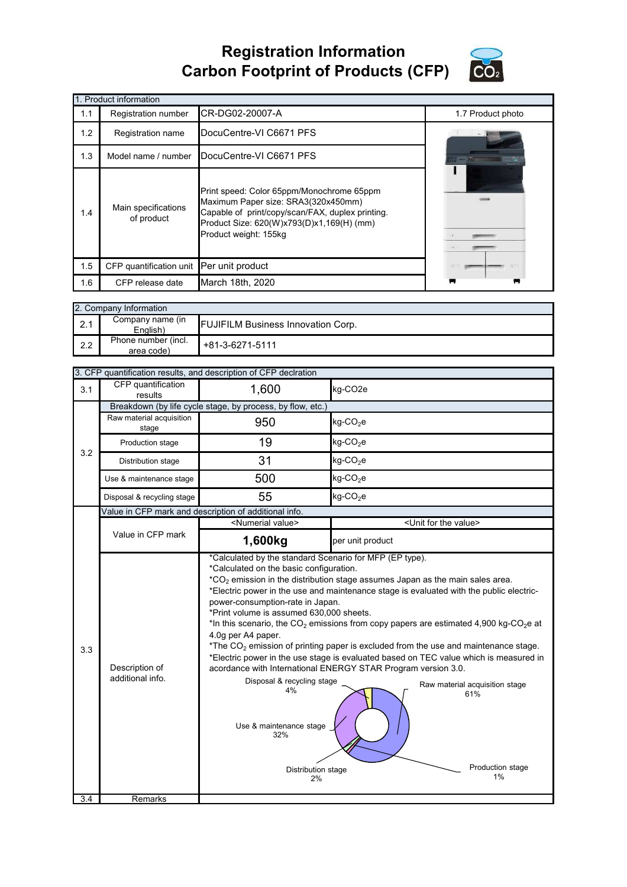## **Registration Information Carbon Footprint of Products (CFP)**



|     | 1. Product information                   |                                                                                                                                                                                                            |                   |
|-----|------------------------------------------|------------------------------------------------------------------------------------------------------------------------------------------------------------------------------------------------------------|-------------------|
| 1.1 | Registration number                      | CR-DG02-20007-A                                                                                                                                                                                            | 1.7 Product photo |
| 1.2 | Registration name                        | DocuCentre-VI C6671 PFS                                                                                                                                                                                    |                   |
| 1.3 | Model name / number                      | DocuCentre-VI C6671 PFS                                                                                                                                                                                    |                   |
| 1.4 | Main specifications<br>of product        | Print speed: Color 65ppm/Monochrome 65ppm<br>Maximum Paper size: SRA3(320x450mm)<br>Capable of print/copy/scan/FAX, duplex printing.<br>Product Size: 620(W)x793(D)x1,169(H) (mm)<br>Product weight: 155kg |                   |
| 1.5 | CFP quantification unit Per unit product |                                                                                                                                                                                                            |                   |
| 1.6 | CFP release date                         | March 18th, 2020                                                                                                                                                                                           |                   |

|     | 2. Company Information            |                                           |
|-----|-----------------------------------|-------------------------------------------|
| 2.1 | Company name (in<br>Enalish)      | <b>FUJIFILM Business Innovation Corp.</b> |
| 2.2 | Phone number (incl.<br>area code) | +81-3-6271-5111                           |

|                  |                                    | 3. CFP quantification results, and description of CFP declration                                                                                                                                                                                                                                                  |                                                                                                                                                                                                                                                                                                                                                                                                                                                                                                                                                                                                           |
|------------------|------------------------------------|-------------------------------------------------------------------------------------------------------------------------------------------------------------------------------------------------------------------------------------------------------------------------------------------------------------------|-----------------------------------------------------------------------------------------------------------------------------------------------------------------------------------------------------------------------------------------------------------------------------------------------------------------------------------------------------------------------------------------------------------------------------------------------------------------------------------------------------------------------------------------------------------------------------------------------------------|
| 3.1              | CFP quantification<br>results      | 1,600                                                                                                                                                                                                                                                                                                             | kg-CO <sub>2e</sub>                                                                                                                                                                                                                                                                                                                                                                                                                                                                                                                                                                                       |
|                  |                                    | Breakdown (by life cycle stage, by process, by flow, etc.)                                                                                                                                                                                                                                                        |                                                                                                                                                                                                                                                                                                                                                                                                                                                                                                                                                                                                           |
|                  | Raw material acquisition<br>stage  | 950                                                                                                                                                                                                                                                                                                               | kg-CO <sub>2</sub> e                                                                                                                                                                                                                                                                                                                                                                                                                                                                                                                                                                                      |
| 3.2              | Production stage                   | 19                                                                                                                                                                                                                                                                                                                | $kg$ -CO <sub>2</sub> e                                                                                                                                                                                                                                                                                                                                                                                                                                                                                                                                                                                   |
|                  | Distribution stage                 | 31                                                                                                                                                                                                                                                                                                                | $kg$ -CO <sub>2</sub> e                                                                                                                                                                                                                                                                                                                                                                                                                                                                                                                                                                                   |
|                  | Use & maintenance stage            | 500                                                                                                                                                                                                                                                                                                               | $kg$ -CO <sub>2</sub> e                                                                                                                                                                                                                                                                                                                                                                                                                                                                                                                                                                                   |
|                  | Disposal & recycling stage         | 55                                                                                                                                                                                                                                                                                                                | $kg$ -CO <sub>2</sub> e                                                                                                                                                                                                                                                                                                                                                                                                                                                                                                                                                                                   |
|                  |                                    | Value in CFP mark and description of additional info.                                                                                                                                                                                                                                                             |                                                                                                                                                                                                                                                                                                                                                                                                                                                                                                                                                                                                           |
|                  |                                    | <numerial value=""></numerial>                                                                                                                                                                                                                                                                                    | <unit for="" the="" value=""></unit>                                                                                                                                                                                                                                                                                                                                                                                                                                                                                                                                                                      |
|                  | Value in CFP mark                  | 1,600kg                                                                                                                                                                                                                                                                                                           | per unit product                                                                                                                                                                                                                                                                                                                                                                                                                                                                                                                                                                                          |
| 3.3              | Description of<br>additional info. | *Calculated by the standard Scenario for MFP (EP type).<br>*Calculated on the basic configuration.<br>power-consumption-rate in Japan.<br>*Print volume is assumed 630,000 sheets.<br>4.0g per A4 paper.<br>Disposal & recycling stage<br>4%<br>Use & maintenance stage<br>32%<br><b>Distribution stage</b><br>2% | $^*CO_2$ emission in the distribution stage assumes Japan as the main sales area.<br>*Electric power in the use and maintenance stage is evaluated with the public electric-<br>*In this scenario, the $CO2$ emissions from copy papers are estimated 4,900 kg-CO <sub>2</sub> e at<br>*The $CO2$ emission of printing paper is excluded from the use and maintenance stage.<br>*Electric power in the use stage is evaluated based on TEC value which is measured in<br>acordance with International ENERGY STAR Program version 3.0.<br>Raw material acquisition stage<br>61%<br>Production stage<br>1% |
| $\overline{3.4}$ | Remarks                            |                                                                                                                                                                                                                                                                                                                   |                                                                                                                                                                                                                                                                                                                                                                                                                                                                                                                                                                                                           |